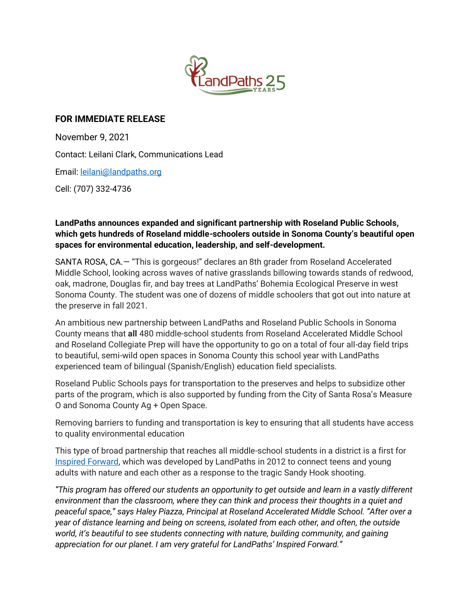

## **FOR IMMEDIATE RELEASE**

November 9, 2021 Contact: Leilani Clark, Communications Lead Email[: leilani@landpaths.org](mailto:leilani@landpaths.org) Cell: (707) 332-4736

## **LandPaths announces expanded and significant partnership with Roseland Public Schools, which gets hundreds of Roseland middle-schoolers outside in Sonoma County's beautiful open spaces for environmental education, leadership, and self-development.**

SANTA ROSA, CA.— "This is gorgeous!" declares an 8th grader from Roseland Accelerated Middle School, looking across waves of native grasslands billowing towards stands of redwood, oak, madrone, Douglas fir, and bay trees at LandPaths' Bohemia Ecological Preserve in west Sonoma County. The student was one of dozens of middle schoolers that got out into nature at the preserve in fall 2021.

An ambitious new partnership between LandPaths and Roseland Public Schools in Sonoma County means that **all** 480 middle-school students from Roseland Accelerated Middle School and Roseland Collegiate Prep will have the opportunity to go on a total of four all-day field trips to beautiful, semi-wild open spaces in Sonoma County this school year with LandPaths experienced team of bilingual (Spanish/English) education field specialists.

Roseland Public Schools pays for transportation to the preserves and helps to subsidize other parts of the program, which is also supported by funding from the City of Santa Rosa's Measure O and Sonoma County Ag + Open Space.

Removing barriers to funding and transportation is key to ensuring that all students have access to quality environmental education

This type of broad partnership that reaches all middle-school students in a district is a first for [Inspired Forward,](https://www.landpaths.org/inspired-forward/) which was developed by LandPaths in 2012 to connect teens and young adults with nature and each other as a response to the tragic Sandy Hook shooting.

*"This program has offered our students an opportunity to get outside and learn in a vastly different environment than the classroom, where they can think and process their thoughts in a quiet and peaceful space," says Haley Piazza, Principal at Roseland Accelerated Middle School. "After over a year of distance learning and being on screens, isolated from each other, and often, the outside world, it's beautiful to see students connecting with nature, building community, and gaining appreciation for our planet. I am very grateful for LandPaths' Inspired Forward."*